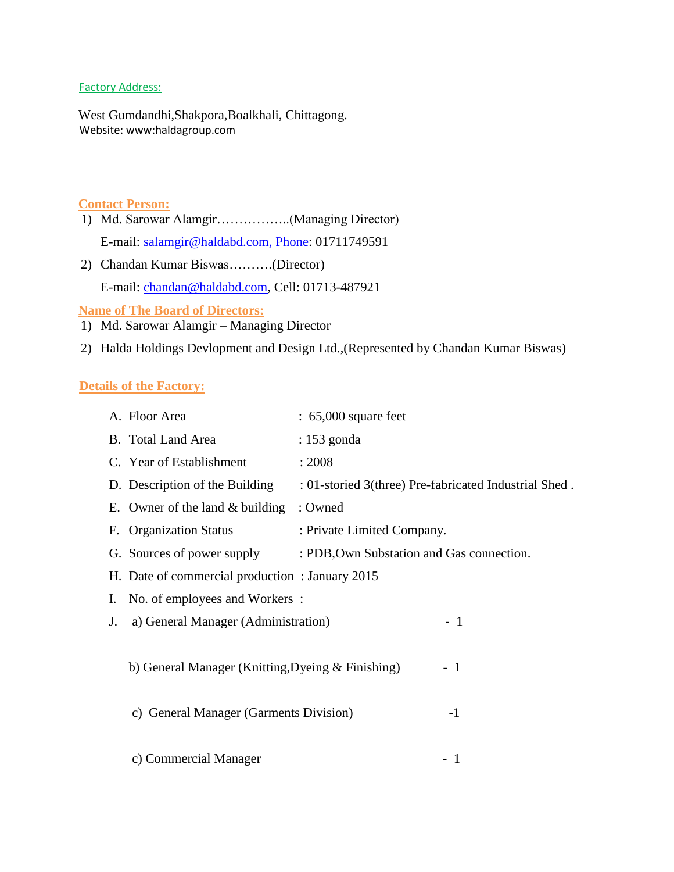#### Factory Address:

West Gumdandhi,Shakpora,Boalkhali, Chittagong. Website: www:haldagroup.com

#### **Contact Person:**

- 1) Md. Sarowar Alamgir……………..(Managing Director) E-mail: [salamgir@haldabd.com, Phone:](mailto:salamgir@haldabd.com,%20Phone) 01711749591
- 2) Chandan Kumar Biswas……….(Director) E-mail: [chandan@haldabd.com,](mailto:chandan@haldabd.com) Cell: 01713-487921

**Name of The Board of Directors:**

- 1) Md. Sarowar Alamgir Managing Director
- 2) Halda Holdings Devlopment and Design Ltd.,(Represented by Chandan Kumar Biswas)

#### **Details of the Factory:**

|    | A. Floor Area                                               | $: 65,000$ square feet                                |      |  |  |
|----|-------------------------------------------------------------|-------------------------------------------------------|------|--|--|
|    | B. Total Land Area                                          | : 153 gonda                                           |      |  |  |
|    | C. Year of Establishment                                    | : 2008                                                |      |  |  |
|    | D. Description of the Building                              | : 01-storied 3(three) Pre-fabricated Industrial Shed. |      |  |  |
|    | E. Owner of the land $&$ building                           | : Owned                                               |      |  |  |
|    | F. Organization Status                                      | : Private Limited Company.                            |      |  |  |
|    | G. Sources of power supply                                  | : PDB, Own Substation and Gas connection.             |      |  |  |
|    | H. Date of commercial production: January 2015              |                                                       |      |  |  |
| I. | No. of employees and Workers:                               |                                                       |      |  |  |
| J. | a) General Manager (Administration)                         |                                                       | $-1$ |  |  |
|    |                                                             |                                                       |      |  |  |
|    | b) General Manager (Knitting, Dyeing $&$ Finishing)<br>$-1$ |                                                       |      |  |  |
|    |                                                             |                                                       |      |  |  |
|    | c) General Manager (Garments Division)                      |                                                       | $-1$ |  |  |
|    |                                                             |                                                       |      |  |  |
|    | c) Commercial Manager                                       |                                                       | - 1  |  |  |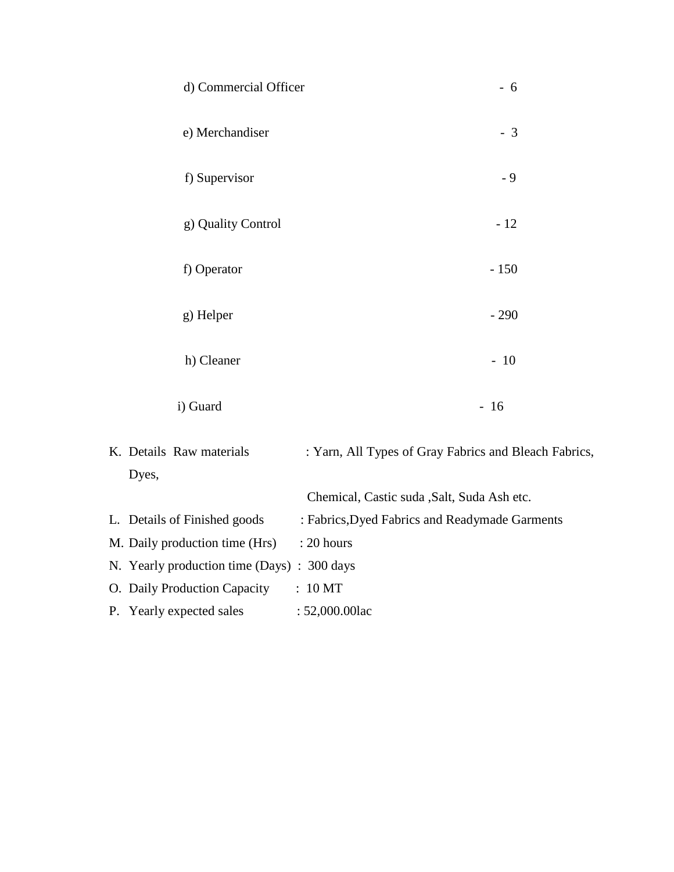| d) Commercial Officer                      | $-6$                                                  |
|--------------------------------------------|-------------------------------------------------------|
| e) Merchandiser                            | $-3$                                                  |
| f) Supervisor                              | $-9$                                                  |
| g) Quality Control                         | $-12$                                                 |
| f) Operator                                | $-150$                                                |
| g) Helper                                  | $-290$                                                |
| h) Cleaner                                 | $-10$                                                 |
| i) Guard                                   | $-16$                                                 |
| K. Details Raw materials<br>Dyes,          | : Yarn, All Types of Gray Fabrics and Bleach Fabrics, |
|                                            | Chemical, Castic suda , Salt, Suda Ash etc.           |
| L. Details of Finished goods               | : Fabrics, Dyed Fabrics and Readymade Garments        |
| M. Daily production time (Hrs)             | : 20 hours                                            |
| N. Yearly production time (Days): 300 days |                                                       |
| O. Daily Production Capacity               | : 10 MT                                               |
| P. Yearly expected sales                   | : 52,000.00lac                                        |
|                                            |                                                       |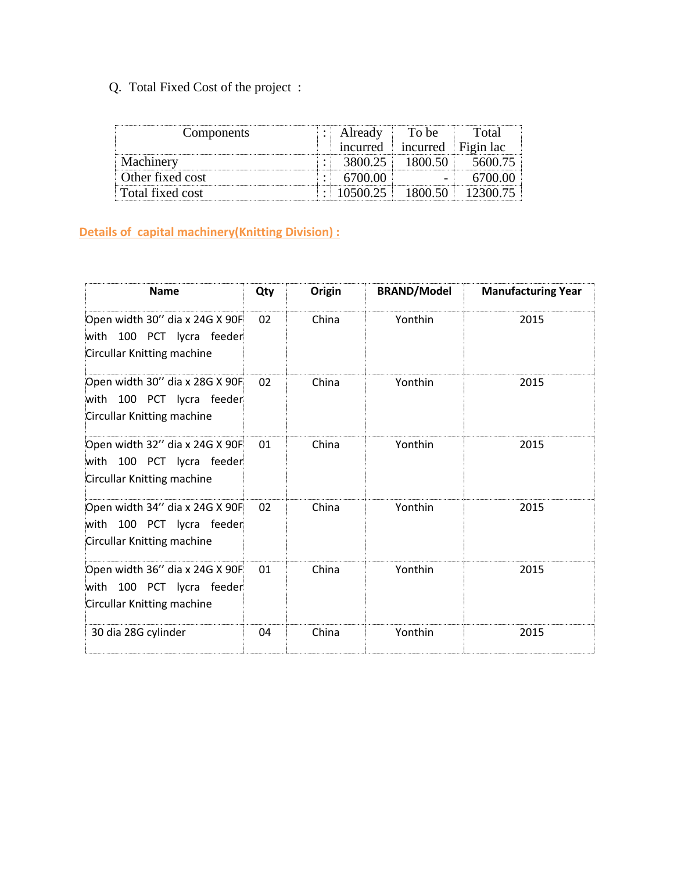## Q. Total Fixed Cost of the project :

| Components       |   | Already<br><i>ncurred</i> | To be<br>incurred | Total<br>- Figin lac |
|------------------|---|---------------------------|-------------------|----------------------|
| Machinery        | ٠ | 3800.25                   | 1800.50           | 5600 75              |
| Other fixed cost |   | 6700.00                   |                   |                      |
| Total fixed cost |   | 10500.25                  |                   | 12300 °              |

## **Details of capital machinery(Knitting Division) :**

| <b>Name</b>                                                                                  | Qty | Origin | <b>BRAND/Model</b> | <b>Manufacturing Year</b> |
|----------------------------------------------------------------------------------------------|-----|--------|--------------------|---------------------------|
| Open width 30" dia x 24G X 90F<br>with 100 PCT lycra feeder<br>Circullar Knitting machine    | 02  | China  | Yonthin            | 2015                      |
| Open width 30" dia x 28G X 90F<br>with 100 PCT lycra feeder<br>Circullar Knitting machine    | 02  | China  | Yonthin            | 2015                      |
| Open width 32" dia x 24G X 90F<br>100 PCT lycra feeder<br>with<br>Circullar Knitting machine | 01  | China  | Yonthin            | 2015                      |
| Open width 34" dia x 24G X 90F<br>with 100 PCT lycra feeder<br>Circullar Knitting machine    | 02  | China  | Yonthin            | 2015                      |
| Open width 36" dia x 24G X 90F<br>100 PCT lycra feeder<br>with<br>Circullar Knitting machine | 01  | China  | Yonthin            | 2015                      |
| 30 dia 28G cylinder                                                                          | 04  | China  | Yonthin            | 2015                      |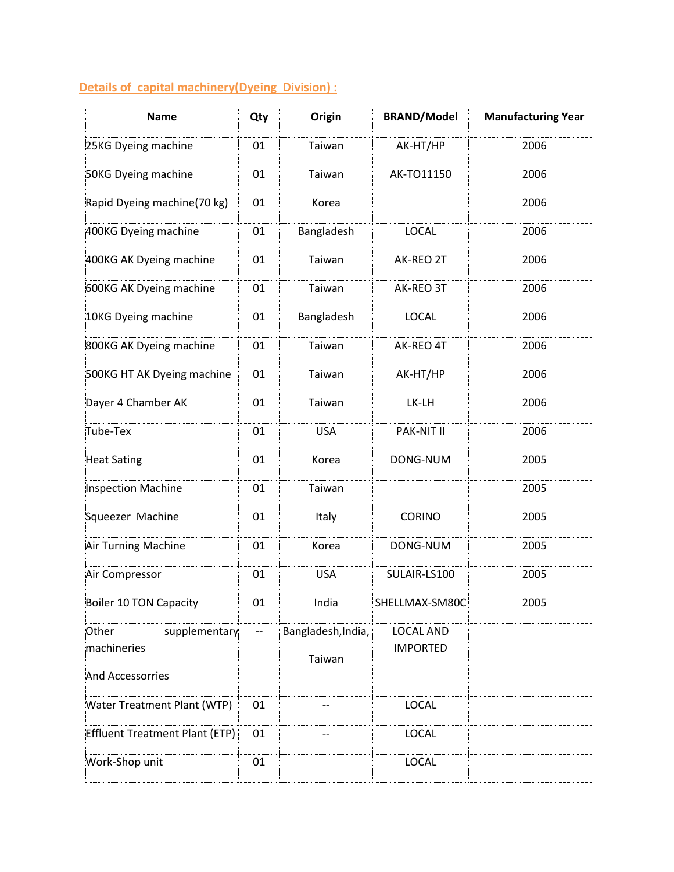## **Details of capital machinery(Dyeing Division) :**

| <b>Name</b>                                               | Qty                      | Origin                       | <b>BRAND/Model</b>                  | <b>Manufacturing Year</b> |
|-----------------------------------------------------------|--------------------------|------------------------------|-------------------------------------|---------------------------|
| 25KG Dyeing machine                                       | 01                       | Taiwan                       | AK-HT/HP                            | 2006                      |
| 50KG Dyeing machine                                       | 01                       | Taiwan                       | AK-TO11150                          | 2006                      |
| Rapid Dyeing machine(70 kg)                               | 01                       | Korea                        |                                     | 2006                      |
| 400KG Dyeing machine                                      | 01                       | Bangladesh                   | <b>LOCAL</b>                        | 2006                      |
| 400KG AK Dyeing machine                                   | 01                       | Taiwan                       | AK-REO 2T                           | 2006                      |
| 600KG AK Dyeing machine                                   | 01                       | Taiwan                       | AK-REO 3T                           | 2006                      |
| 10KG Dyeing machine                                       | 01                       | Bangladesh                   | <b>LOCAL</b>                        | 2006                      |
| 800KG AK Dyeing machine                                   | 01                       | Taiwan                       | AK-REO 4T                           | 2006                      |
| 500KG HT AK Dyeing machine                                | 01                       | Taiwan                       | AK-HT/HP                            | 2006                      |
| Dayer 4 Chamber AK                                        | 01                       | Taiwan                       | LK-LH                               | 2006                      |
| Tube-Tex                                                  | 01                       | <b>USA</b>                   | PAK-NIT II                          | 2006                      |
| <b>Heat Sating</b>                                        | 01                       | Korea                        | DONG-NUM                            | 2005                      |
| <b>Inspection Machine</b>                                 | 01                       | Taiwan                       |                                     | 2005                      |
| Squeezer Machine                                          | 01                       | Italy                        | <b>CORINO</b>                       | 2005                      |
| Air Turning Machine                                       | 01                       | Korea                        | DONG-NUM                            | 2005                      |
| Air Compressor                                            | 01                       | <b>USA</b>                   | SULAIR-LS100                        | 2005                      |
| <b>Boiler 10 TON Capacity</b>                             | 01                       | India                        | SHELLMAX-SM80C                      | 2005                      |
| Other<br>supplementary<br>machineries<br>And Accessorries | $\overline{\phantom{a}}$ | Bangladesh, India,<br>Taiwan | <b>LOCAL AND</b><br><b>IMPORTED</b> |                           |
| Water Treatment Plant (WTP)                               | 01                       |                              | <b>LOCAL</b>                        |                           |
| <b>Effluent Treatment Plant (ETP)</b>                     | 01                       | --                           | LOCAL                               |                           |
| Work-Shop unit                                            | 01                       |                              | LOCAL                               |                           |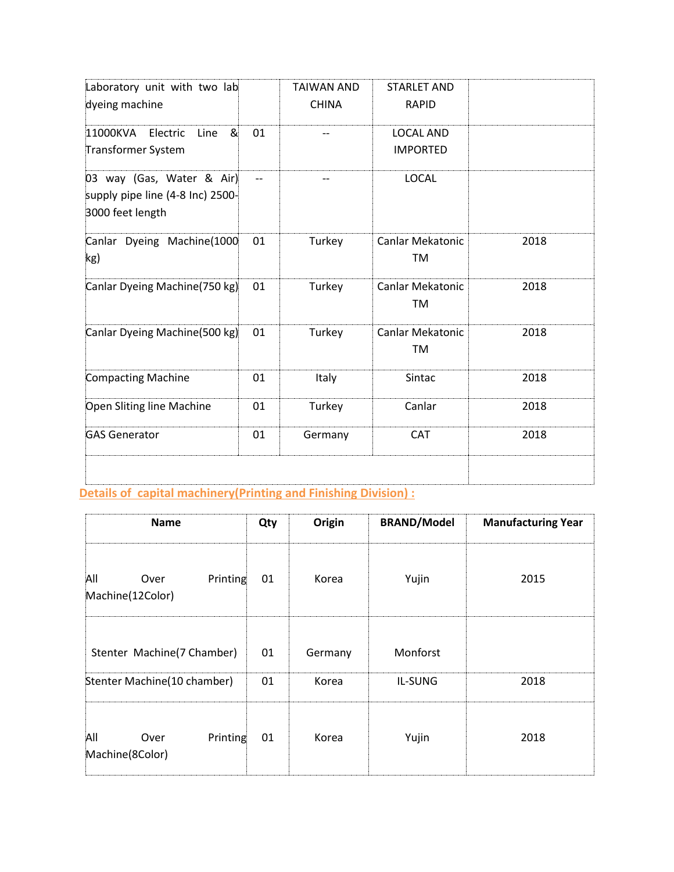| Laboratory unit with two lab                                                      |    | <b>TAIWAN AND</b> | <b>STARLET AND</b>            |      |
|-----------------------------------------------------------------------------------|----|-------------------|-------------------------------|------|
| dyeing machine                                                                    |    | <b>CHINA</b>      | <b>RAPID</b>                  |      |
| 11000KVA<br>Electric<br>&<br>Line                                                 | 01 | --                | <b>LOCAL AND</b>              |      |
| Transformer System                                                                |    |                   | <b>IMPORTED</b>               |      |
| 03 way (Gas, Water & Air)<br>supply pipe line (4-8 Inc) 2500-<br>3000 feet length |    |                   | <b>LOCAL</b>                  |      |
| Canlar Dyeing Machine(1000<br>kg)                                                 | 01 | Turkey            | <b>Canlar Mekatonic</b><br>TM | 2018 |
| Canlar Dyeing Machine(750 kg)                                                     | 01 | Turkey            | <b>Canlar Mekatonic</b><br>TM | 2018 |
| Canlar Dyeing Machine(500 kg)                                                     | 01 | Turkey            | <b>Canlar Mekatonic</b><br>TM | 2018 |
| <b>Compacting Machine</b>                                                         | 01 | Italy             | Sintac                        | 2018 |
| Open Sliting line Machine                                                         | 01 | Turkey            | Canlar                        | 2018 |
| <b>GAS Generator</b>                                                              | 01 | Germany           | <b>CAT</b>                    | 2018 |
|                                                                                   |    |                   |                               |      |

# **Details of capital machinery(Printing and Finishing Division) :**

| <b>Name</b>                                 | Qty | Origin  | <b>BRAND/Model</b> | <b>Manufacturing Year</b> |
|---------------------------------------------|-----|---------|--------------------|---------------------------|
| All<br>Printing<br>Over<br>Machine(12Color) | 01  | Korea   | Yujin              | 2015                      |
| Stenter Machine(7 Chamber)                  | 01  | Germany | Monforst           |                           |
| Stenter Machine(10 chamber)                 | 01  | Korea   | IL-SUNG            | 2018                      |
| All<br>Printing<br>Over<br>Machine(8Color)  | 01  | Korea   | Yujin              | 2018                      |